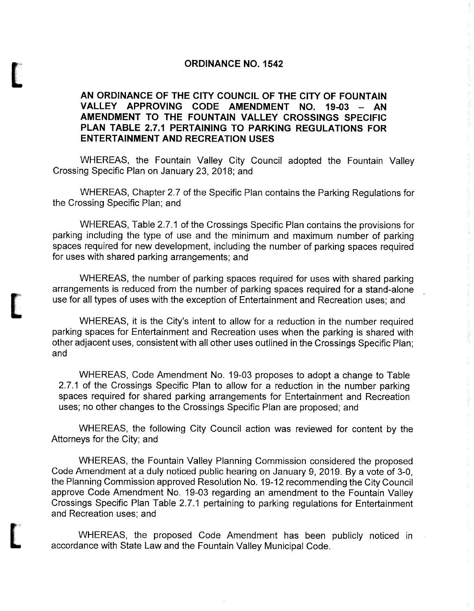#### ORDINANCE NO. 1542

### AN ORDINANCE OF THE CITY COUNCIL OF THE CITY OF FOUNTAIN VALLEY APPROVING CODE AMENDMENT NO. 19-03 - AN AMENDMENT TO THE FOUNTAIN VALLEY CROSSINGS SPECIFIC PLAN TABLE 2.7.1 PERTAINING TO PARKING REGULATIONS FOR ENTERTAINMENT AND RECREATION USES

WHEREAS, the Fountain Valley City Council adopted the Fountain Valley Crossing Specific Plan on January 23, 2018; and

WHEREAS, Chapter 2.7 of the Specific Plan contains the Parking Regulations for the Crossing Specific Plan; and

WHEREAS, Table 2.7.1 of the Crossings Specific Plan contains the provisions for parking including the type of use and the minimum and maximum number of parking spaces required for new development, including the number of parking spaces required for uses with shared parking arrangements; and

WHEREAS, the number of parking spaces required for uses with shared parking arrangements is reduced from the number of parking spaces required for a stand-alone use for all types of uses with the exception of Entertainment and Recreation uses; and

WHEREAS, it is the City's intent to allow for a reduction in the number required parking spaces for Entertainment and Recreation uses when the parking is shared with other adjacent uses, consistent with all other uses outlined in the Crossings Specific Plan; and

WHEREAS, Code Amendment No. 19-03 proposes to adopt a change to Table 2.7.1 of the Crossings Specific Plan to allow for a reduction in the number parking spaces required for shared parking arrangements for Entertainment and Recreation uses; no other changes to the Crossings Specific Plan are proposed; and

WHEREAS, the following City Council action was reviewed for content by the Attorneys for the City; and

WHEREAS, the Fountain Valley Planning Commission considered the proposed Code Amendment at a duly noticed public hearing on January 9, 2019. By a vote of 3-0, the Planning Commission approved Resolution No. 19- 12 recommending the City Council approve Code Amendment No. 19-03 regarding an amendment to the Fountain Valley Crossings Specific Plan Table 2. 7. <sup>1</sup> pertaining to parking regulations for Entertainment and Recreation uses; and

WHEREAS, the proposed Code Amendment has been publicly noticed in accordance with State Law and the Fountain Valley Municipal Code.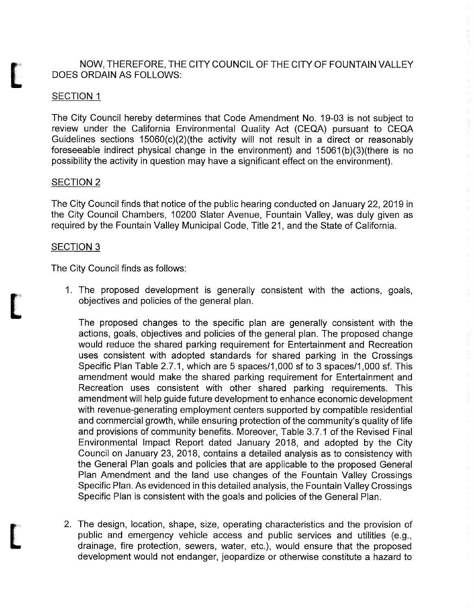NOW, THEREFORE, THE CITY COUNCIL OF THE CITY OF FOUNTAIN VALLEY DOES ORDAIN AS FOLLOWS:

## SECTION <sup>1</sup>

The City Council hereby determines that Code Amendment No. 19-03 is not subject to review under the California Environmental Quality Act ( CEQA) pursuant to CEQA Guidelines sections  $15060(c)(2)$ (the activity will not result in a direct or reasonably foreseeable indirect physical change in the environment) and 15061(b)(3)(there is no possibility the activity in question may have a significant effect on the environment).

#### SECTION 2

The City Council finds that notice of the public hearing conducted on January 22, 2019 in the City Council Chambers, 10200 Slater Avenue, Fountain Valley, was duly given as required by the Fountain Valley Municipal Code, Title 21, and the State of California.

#### SECTION 3

The City Council finds as follows:

1. The proposed development is generally consistent with the actions, goals, objectives and policies of the general plan.

The proposed changes to the specific plan are generally consistent with the actions, goals, objectives and policies of the general plan. The proposed change would reduce the shared parking requirement for Entertainment and Recreation uses consistent with adopted standards for shared parking in the Crossings Specific Plan Table 2.7.1, which are 5 spaces/1,000 sf to 3 spaces/1,000 sf. This amendment would make the shared parking requirement for Entertainment and Recreation uses consistent with other shared parking requirements. This amendment will help guide future development to enhance economic development with revenue-generating employment centers supported by compatible residential and commercial growth, while ensuring protection of the community's quality of life and provisions of community benefits. Moreover, Table 3. 7. <sup>1</sup> of the Revised Final Environmental Impact Report dated January 2018, and adopted by the City Council on January 23, 2018, contains a detailed analysis as to consistency with the General Plan goals and policies that are applicable to the proposed General Plan Amendment and the land use changes of the Fountain Valley Crossings Specific Plan. As evidenced in this detailed analysis, the Fountain Valley Crossings Specific Plan is consistent with the goals and policies of the General Plan.

2. The design, location, shape, size, operating characteristics and the provision of public and emergency vehicle access and public services and utilities (e.g., drainage, fire protection, sewers, water, etc.), would ensure that the proposed development would not endanger, jeopardize or otherwise constitute a hazard to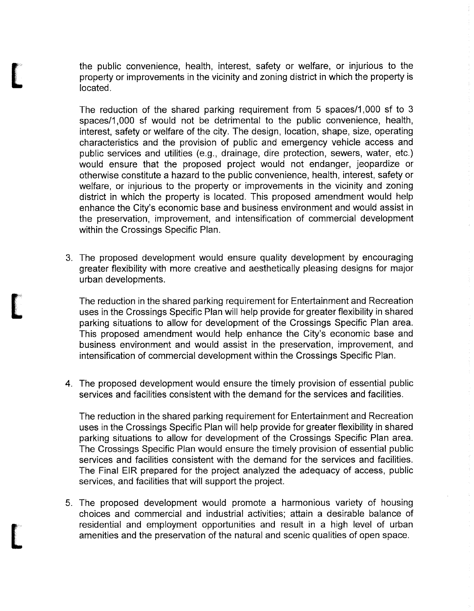the public convenience, health, interest, safety or welfare, or injurious to the property or improvements in the vicinity and zoning district in which the property is located.

The reduction of the shared parking requirement from 5 spaces/1,000 sf to 3 spaces/1,000 sf would not be detrimental to the public convenience, health, interest, safety or welfare of the city. The design, location, shape, size, operating characteristics and the provision of public and emergency vehicle access and public services and utilities (e.g., drainage, dire protection, sewers, water, etc.) would ensure that the proposed project would not endanger, jeopardize or otherwise constitute a hazard to the public convenience, health, interest, safety or welfare, or injurious to the property or improvements in the vicinity and zoning district in which the property is located. This proposed amendment would help enhance the City's economic base and business environment and would assist in the preservation, improvement, and intensification of commercial development within the Crossings Specific Plan.

3. The proposed development would ensure quality development by encouraging greater flexibility with more creative and aesthetically pleasing designs for major urban developments.

The reduction in the shared parking requirement for Entertainment and Recreation uses in the Crossings Specific Plan will help provide for greater flexibility in shared parking situations to allow for development of the Crossings Specific Plan area. This proposed amendment would help enhance the City's economic base and business environment and would assist in the preservation, improvement, and intensification of commercial development within the Crossings Specific Plan.

4. The proposed development would ensure the timely provision of essential public services and facilities consistent with the demand for the services and facilities.

The reduction in the shared parking requirement for Entertainment and Recreation uses in the Crossings Specific Plan will help provide for greater flexibility in shared parking situations to allow for development of the Crossings Specific Plan area. The Crossings Specific Plan would ensure the timely provision of essential public services and facilities consistent with the demand for the services and facilities. The Final EIR prepared for the project analyzed the adequacy of access, public services, and facilities that will support the project.

5. The proposed development would promote a harmonious variety of housing choices and commercial and industrial activities; attain a desirable balance of residential and employment opportunities and result in a high level of urban amenities and the preservation of the natural and scenic qualities of open space.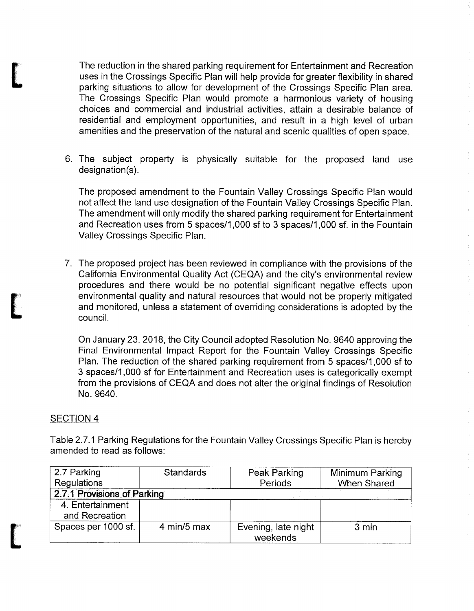The reduction in the shared parking requirement for Entertainment and Recreation uses in the Crossings Specific Plan will help provide for greater flexibility in shared parking situations to allow for development of the Crossings Specific Plan area. The Crossings Specific Plan would promote a harmonious variety of housing choices and commercial and industrial activities, attain a desirable balance of residential and employment opportunities, and result in a high level of urban amenities and the preservation of the natural and scenic qualities of open space.

6. The subject property is physically suitable for the proposed land use designation(s).

The proposed amendment to the Fountain Valley Crossings Specific Plan would not affect the land use designation of the Fountain Valley Crossings Specific Plan. The amendment will only modify the shared parking requirement for Entertainment and Recreation uses from 5 spaces/1,000 sf to 3 spaces/1,000 sf. in the Fountain Valley Crossings Specific Plan.

7. The proposed project has been reviewed in compliance with the provisions of the California Environmental Quality Act (CEQA) and the city's environmental review procedures and there would be no potential significant negative effects upon environmental quality and natural resources that would not be properly mitigated and monitored, unless a statement of overriding considerations is adopted by the council.

On January 23, 2018, the City Council adopted Resolution No. 9640 approving the Final Environmental Impact Report for the Fountain Valley Crossings Specific Plan. The reduction of the shared parking requirement from 5 spaces/1,000 sf to 3 spaces/1,000 sf for Entertainment and Recreation uses is categorically exempt from the provisions of CEQA and does not alter the original findings of Resolution No. 9640.

## SECTION 4

Table 2. 7. <sup>1</sup> Parking Regulations for the Fountain Valley Crossings Specific Plan is hereby amended to read as follows:

| 2.7 Parking<br>Regulations         | <b>Standards</b> | Peak Parking<br>Periods         | Minimum Parking<br><b>When Shared</b> |
|------------------------------------|------------------|---------------------------------|---------------------------------------|
| 2.7.1 Provisions of Parking        |                  |                                 |                                       |
| 4. Entertainment<br>and Recreation |                  |                                 |                                       |
| Spaces per 1000 sf.                | 4 min/5 max      | Evening, late night<br>weekends | 3 min                                 |